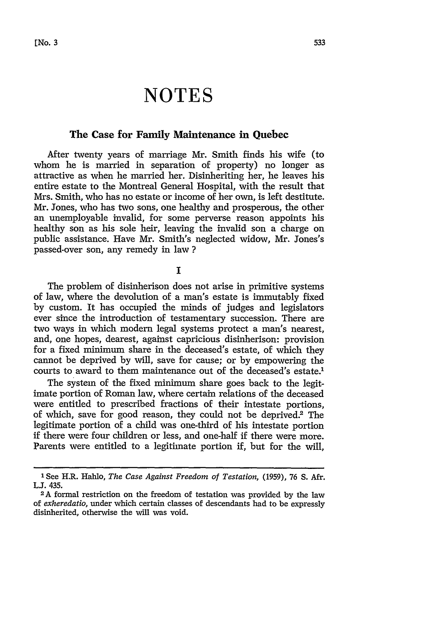# **NOTES**

# **The Case for Family Maintenance in Quebec**

After twenty years of marriage Mr. Smith finds his wife (to whom he is married in separation of property) no longer as attractive as when he married her. Disinheriting her, he leaves his entire estate to the Montreal General Hospital, with the result that Mrs. Smith, who has no estate or income of her own, is left destitute. Mr. Jones, who has two sons, one healthy and prosperous, the other an unemployable invalid, for some perverse reason appoints his healthy son as his sole heir, leaving the invalid son a charge on public assistance. Have Mr. Smith's neglected widow, Mr. Jones's passed-over son, any remedy in law **?**

**I**

The problem of disinherison does not arise in primitive systems of law, where the devolution of a man's estate is immutably fixed by custom. It has occupied the minds of judges and legislators ever since the introduction of testamentary succession. There are two ways in which modern legal systems protect a man's nearest, and, one hopes, dearest, against capricious disinherison: provision for a fixed minimum share in the deceased's estate, of which they cannot be deprived by will, save for cause; or by empowering the courts to award to them maintenance out of the deceased's estate.'

The system of the fixed minimum share goes back to the legitimate portion of Roman law, where certain relations of the deceased were entitled to prescribed fractions of their intestate portions, of which, save for good reason, they could not be deprived.<sup>2</sup> The legitimate portion of a child was one-third of his intestate portion if there were four children or less, and one-half if there were more. Parents were entitled to a legitimate portion if, but for the will,

<sup>&#</sup>x27; See H.R. Hahlo, *The Case Against Freedom of Testation,* (1959), 76 S. Afr. **LJ.** 435.

**<sup>2</sup>A** formal restriction on the freedom of testation was provided **by** the law of *exheredatio,* under which certain classes of descendants had to be expressly disinherited, otherwise the will was void.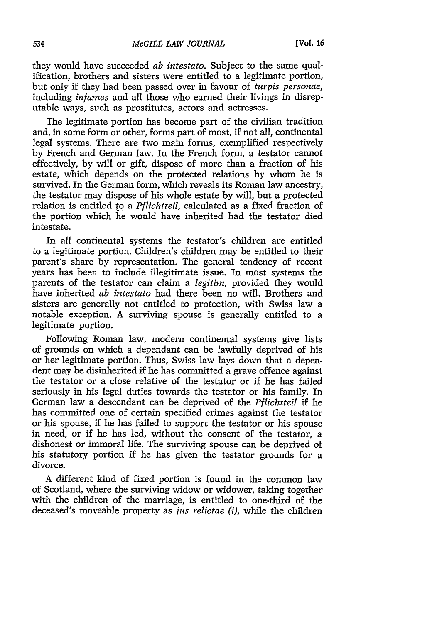they would have succeeded *ab intestato.* Subject to the same qualification, brothers and sisters were entitled to a legitimate portion, but only if they had been passed over in favour of *turpis personae,* including *infames* and all those who earned their livings in disreputable ways, such as prostitutes, actors and actresses.

The legitimate portion has become part of the civilian tradition and, in some form or other, forms part of most, if not all, continental legal systems. There are two main forms, exemplified respectively by French and German law. In the French form, a testator cannot effectively, by will or gift, dispose of more than a fraction of his estate, which depends on the protected relations by whom he is survived. In the German form, which reveals its Roman law ancestry, the testator may dispose of his whole estate by will, but a protected relation is entitled to a *Pflichtteil,* calculated as a fixed fraction of the portion which he would have inherited had the testator died intestate.

In all continental systems the testator's children are entitled to a legitimate portion. Children's children may be entitled to their parent's share by representation. The general tendency of recent years has been to include illegitimate issue. In most systems the parents of the testator can claim a *legitim,* provided they would have inherited *ab intestato* had there been no will. Brothers and sisters are generally not entitled to protection, with Swiss law a notable exception. A surviving spouse is generally entitled to a legitimate portion.

Following Roman law, modern continental systems give lists of grounds on which a dependant can be lawfully deprived of his or her legitimate portion. Thus, Swiss law lays down that a dependent may be disinherited if he has committed a grave offence against the testator or a close relative of the testator or if he has failed seriously in his legal duties towards the testator or his family. In German law a descendant can be deprived of the *Pflichtteil* if he has committed one of certain specified crimes against the testator or his spouse, if he has failed to support the testator or his spouse in need, or if he has led, without the consent of the testator, a dishonest or immoral life. The surviving spouse can be deprived of his statutory portion if he has given the testator grounds for a divorce.

A different kind of fixed portion is found in the common law of Scotland, where the surviving widow or widower, taking together with the children of the marriage, is entitled to one-third of the deceased's moveable property as *jus relictae (i),* while the children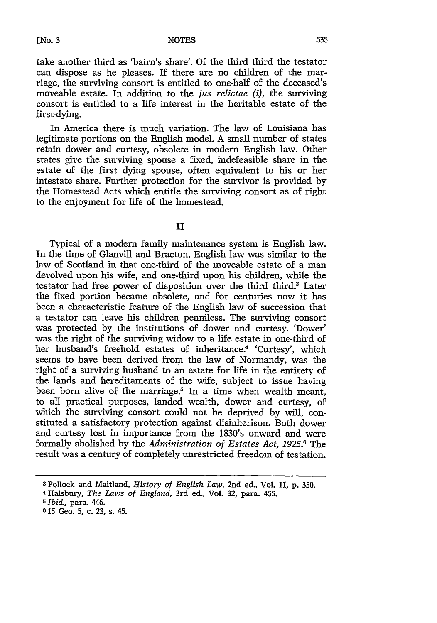take another third as 'bairn's share'. Of the third third the testator can dispose as he pleases. If there are no children of the marriage, the surviving consort is entitled to one-half of the deceased's moveable estate. In addition to the *jus relictae (i),* the surviving consort is entitled to a life interest in the heritable estate of the first-dying.

In America there is much variation. The law of Louisiana has legitimate portions on the English model. A small number of states retain dower and curtesy, obsolete in modern English law. Other states give the surviving spouse a fixed, indefeasible share in the estate of the first dying spouse, often equivalent to his or her intestate share. Further protection for the survivor is provided by the Homestead Acts which entitle the surviving consort as of right to the enjoyment for life of the homestead.

# II

Typical of a modern family maintenance system is English law. In the time of Glanvill and Bracton, English law was similar to the law of Scotland in that one-third of the moveable estate of a man devolved upon his wife, and one-third upon his children, while the testator had free power of disposition over the third third.<sup>3</sup> Later the fixed portion became obsolete, and for centuries now it has been a characteristic feature of the English law of succession that a testator can leave his children penniless. The surviving consort was protected by the institutions of dower and curtesy. 'Dower' was the right of the surviving widow to a life estate in one-third of her husband's freehold estates of inheritance.4 'Curtesy', which seems to have been derived from the law of Normandy, was the right of a surviving husband to an estate for life in the entirety of the lands and hereditaments of the wife, subject to issue having been born alive of the marriage.<sup>5</sup> In a time when wealth meant, to all practical purposes, landed wealth, dower and curtesy, of which the surviving consort could not be deprived by will, constituted a satisfactory protection against disinherison. Both dower and curtesy lost in importance from the 1830's onward and were formally abolished by the *Administration of Estates Act,* **1925.6** The result was a century of completely unrestricted freedom of testation.

**<sup>3</sup>** Pollock and Maitland, *History of English Law,* 2nd ed., Vol. II, p. 350.

<sup>4</sup> Halsbury, *The Laws of England,* 3rd ed., Vol. 32, para. 455.

*GIbid.,* para. 446.

**<sup>6 15</sup>** Geo. **5,** c. **23,** s. 45.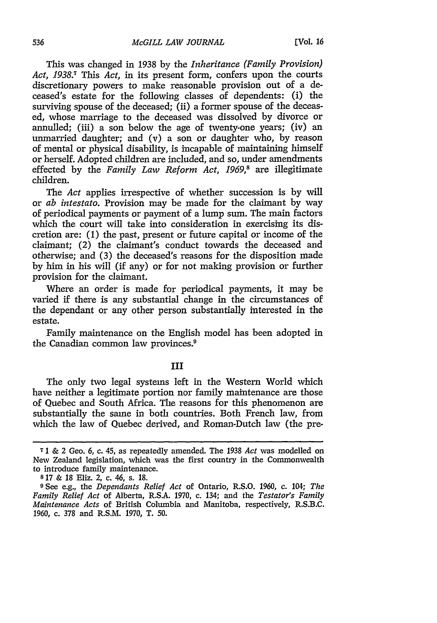This was changed in 1938 by the *Inheritance (Family Provision) Act, 1938.7* This *Act,* in its present form, confers upon the courts discretionary powers to make reasonable provision out of a deceased's estate for the following classes of dependents: (i) the surviving spouse of the deceased: (ii) a former spouse of the deceased, whose marriage to the deceased was dissolved by divorce or annulled; (iii) a son below the age of twenty-one years; (iv) an unmarried daughter; and (v) a son or daughter who, by reason of mental or physical disability, is incapable of maintaining himself or herself. Adopted children are included, and so, under amendments effected by the *Family Law Reform Act, 1969,8* are illegitimate children.

The *Act* applies irrespective of whether succession is by will or *ab intestato.* Provision may be made for the claimant by way of periodical payments or payment of a lump sum. The main factors which the court will take into consideration in exercising its discretion are: **(1)** the past, present or future capital or income of the claimant; (2) the claimant's conduct towards the deceased and otherwise; and (3) the deceased's reasons for the disposition made by him in his will (if any) or for not making provision or further provision for the claimant.

Where an order is made for periodical payments, it may be varied if there is any substantial change in the circumstances of the dependant or any other person substantially interested in the estate.

Family maintenance on the English model has been adopted in the Canadian common law provinces.<sup>9</sup>

#### **III**

The only two legal systems left in the Western World which have neither a legitimate portion nor family maintenance are those of Quebec and South Africa. The reasons for this phenomenon are substantially the same in both countries. Both French law, from which the law of Quebec derived, and Roman-Dutch law (the pre-

**<sup>7</sup>** 1 & 2 Geo. 6, c. 45, as repeatedly amended. The 1938 *Act* was modelled on New Zealand legislation, which was the first country in the Commonwealth to introduce family maintenance.

**s** 17 & **18** Eliz. 2, c. 46, s. **18.**

**<sup>9</sup>** See e.g., the *Dependants Relief Act* of Ontario, R.S.O. 1960, c. 104; *The Family Relief Act* of Alberta, R.S.A. 1970, c. 134; and the *Testator's Family Maintenance Acts* of British Columbia and Manitoba, respectively, R.S.B.C. 1960, c. 378 and R.S.M. 1970, T. 50.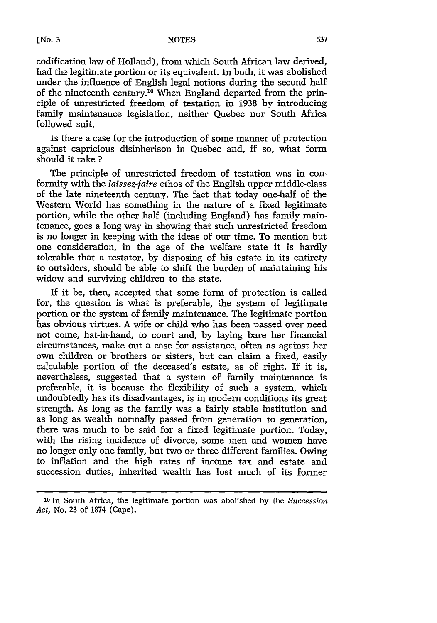[No. **3**

codification law of Holland), from which South African law derived, had the legitimate portion or its equivalent. In both, it was abolished under the influence of English legal notions during the second half of the nineteenth century.<sup>10</sup> When England departed from the principle of unrestricted freedom of testation in 1938 by introducing family maintenance legislation, neither Quebec nor South Africa followed suit.

Is there a case for the introduction of some manner of protection against capricious disinherison in Quebec and, if so, what form should it take **?**

The principle of unrestricted freedom of testation was in conformity with the *laissez-faire* ethos of the English upper middle-class of the late nineteenth century. The fact that today one-half of the Western World has something in the nature of a fixed legitimate portion, while the other half (including England) has family maintenance, goes a long way in showing that such unrestricted freedom is no longer in keeping with the ideas of our time. To mention but one consideration, in the age of the welfare state it is hardly tolerable that a testator, by disposing of his estate in its entirety to outsiders, should be able to shift the burden of maintaining his widow and surviving children to the state.

If it be, then, accepted that some form of protection is called for, the question is what is preferable, the system of legitimate portion or the system of family maintenance. The legitimate portion has obvious virtues. A wife or child who has been passed over need not come, hat-in-hand, to court and, by laying bare her financial circumstances, make out a case for assistance, often as against her own children or brothers or sisters, but can claim a fixed, easily calculable portion of the deceased's estate, as of right. If it is, nevertheless, suggested that a system of family maintenance is preferable, it is because the flexibility of such a system, which undoubtedly has its disadvantages, is in modern conditions its great strength. As long as the family was a fairly stable institution and as long as wealth normally passed from generation to generation, there was much to be said for a fixed legitimate portion. Today, with the rising incidence of divorce, some men and women have no longer only one family, but two or three different families. Owing to inflation and the high rates of income tax and estate and succession duties, inherited wealth has lost much of its former

**<sup>1</sup> <sup>0</sup>**In South Africa, the legitimate portion was abolished by the *Succession Act,* No. 23 of 1874 (Cape).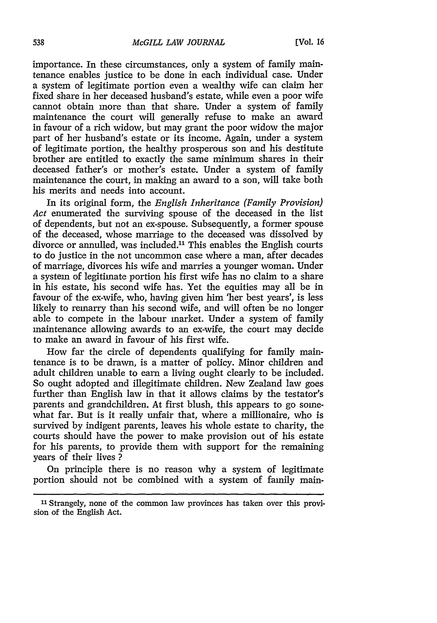importance. In these circumstances, only a system of family maintenance enables justice to be done in each individual case. Under a system of legitimate portion even a wealthy wife can claim her fixed share in her deceased husband's estate, while even a poor wife cannot obtain more than that share. Under a system of family maintenance the court will generally refuse to make an award in favour of a rich widow, but may grant the poor widow the major part of her husband's estate or its income. Again, under a system of legitimate portion, the healthy prosperous son and his destitute brother are entitled to exactly the same minimum shares in their deceased father's or mother's estate. Under a system of family maintenance the court, in making an award to a son, will take both his merits and needs into account.

In its original form, the *English Inheritance (Family Provision) Act* enumerated the surviving spouse of the deceased in the list of dependents, but not an ex-spouse. Subsequently, a former spouse of the deceased, whose marriage to the deceased was dissolved by divorce or annulled, was included.<sup>11</sup> This enables the English courts to do justice in the not uncommon case where a man, after decades of marriage, divorces his wife and marries a younger woman. Under a system of legitimate portion his first wife has no claim to a share in his estate, his second wife has. Yet the equities may all be in favour of the ex-wife, who, having given him 'her best years', is less likely to remarry than his second wife, and will often be no longer able to compete in the labour market. Under a system of family maintenance allowing awards to an ex-wife, the court may decide to make an award in favour of his first wife.

How far the circle of dependents qualifying for family maintenance is to be drawn, is a matter of policy. Minor children and adult children unable to earn a living ought clearly to be included. So ought adopted and illegitimate children. New Zealand law goes further than English law in that it allows claims by the testator's parents and grandchildren. At first blush, this appears to go somewhat far. But is it really unfair that, where a millionaire, who is survived by indigent parents, leaves his whole estate to charity, the courts should have the power to make provision out of his estate for his parents, to provide them with support for the remaining years of their lives **?**

On principle there is no reason why a system of legitimate portion should not be combined with a system of family main-

<sup>&</sup>lt;sup>11</sup> Strangely, none of the common law provinces has taken over this provision of the English Act.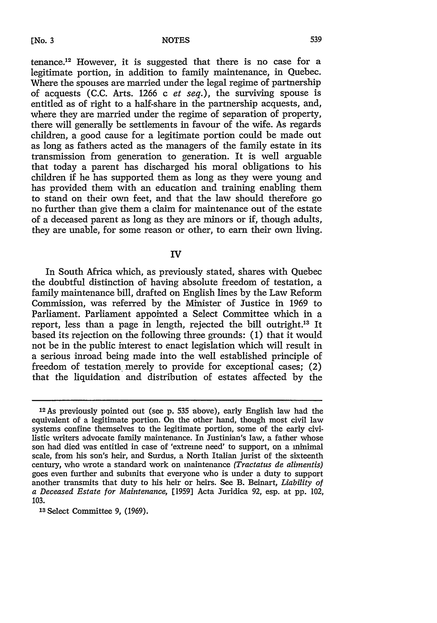tenance.12 However, it is suggested that there is no case for a

legitimate portion, in addition to family maintenance, in Quebec. Where the spouses are married under the legal regime of partnership of acquests (C.C. Arts. 1266 c *et seq.),* the surviving spouse is entitled as of right to a half-share in the partnership acquests, and, where they are married under the regime of separation of property, there will generally be settlements in favour of the wife. As regards children, a good cause for a legitimate portion could be made out as long as fathers acted as the managers of the family estate in its transmission from generation to generation. It is well arguable that today a parent has discharged his moral obligations to his children if he has supported them as long as they were young and has provided them with an education and training enabling them to stand on their own feet, and that the law should therefore go no further than give them a claim for maintenance out of the estate of a deceased parent as long as they are minors or if, though adults, they are unable, for some reason or other, to earn their own living.

# IV

In South Africa which, as previously stated, shares with Quebec the doubtful distinction of having absolute freedom of testation, a family maintenance bill, drafted on English lines by the Law Reform Commission, was referred by the Minister of Justice in 1969 to Parliament. Parliament appointed a Select Committee which in a report, less than a page in length, rejected the bill outright.13 It based its rejection on the following three grounds: (1) that it would not be in the public interest to enact legislation which will result in a serious inroad being made into the well established principle of freedom of testation merely to provide for exceptional cases; (2) that the liquidation and distribution of estates affected by the

13 Select Committee 9, (1969).

<sup>1</sup> <sup>2</sup> As previously pointed out (see **p. 535** above), early English law had the equivalent of a legitimate portion. On the other hand, though most civil law systems confine themselves to the legitimate portion, some of the early civilistic writers advocate family maintenance. In Justinian's law, a father whose son had died was entitled in case of 'extreme need' to support, on a minimal scale, from his son's heir, and Surdus, a North Italian jurist of the sixteenth century, who wrote a standard work on maintenance *(Tractatus de alimentis)* goes even further and submits that everyone who is under a duty to support another transmits that duty to his heir or heirs. See B. Beinart, *Liability of a Deceased Estate for Maintenance,* [1959] Acta Juridica **92,** esp. at pp. 102, 103.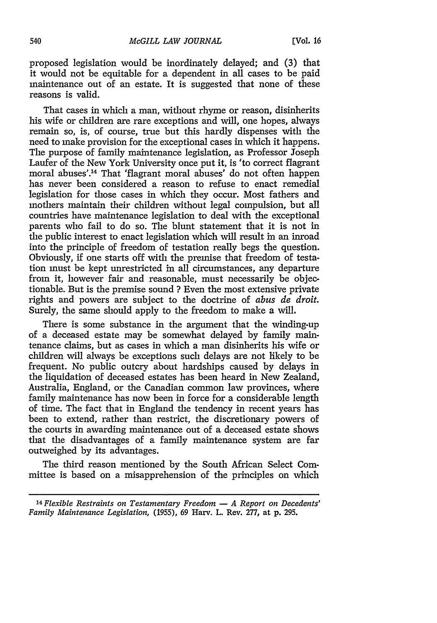proposed legislation would be inordinately delayed; and (3) that it would not be equitable for a dependent in all cases to be paid maintenance out of an estate. It is suggested that none of these reasons is valid.

That cases in which a man, without rhyme or reason, disinherits his wife or children are rare exceptions and will, one hopes, always remain so, is, of course, true but this hardly dispenses with the need to make provision for the exceptional cases in which it happens. The purpose of family maintenance legislation, as Professor Joseph Laufer of the New York University once put it, is 'to correct flagrant moral abuses'.<sup>14</sup> That 'flagrant moral abuses' do not often happen has never been considered a reason to refuse to enact remedial legislation for those cases in which they occur. Most fathers and mothers maintain their children without legal compulsion, but all countries have maintenance legislation to deal with the exceptional parents who fail to do so. The blunt statement that it is not in the public interest to enact legislation which will result in an inroad into the principle of freedom of testation really begs the question. Obviously, if one starts off with the premise that freedom of testation must be kept unrestricted in all circumstances, any departure from it, however fair and reasonable, must necessarily be objectionable. But is the premise sound ? Even the most extensive private rights and powers are subject to the doctrine of *abus de droit.* Surely, the same should apply to the freedom to make a will.

There is some substance in the argument that the winding-up of a deceased estate may be somewhat delayed by family maintenance claims, but as cases in which a man disinherits his wife or children will always be exceptions such delays are not likely to be frequent. No public outcry about hardships caused by delays in the liquidation of deceased estates has been heard in New Zealand, Australia, England, or the Canadian common law provinces, where family maintenance has now been in force for a considerable length of time. The fact that in England the tendency in recent years has been to extend, rather than restrict, the discretionary powers of the courts in awarding maintenance out of a deceased estate shows that the disadvantages of a family maintenance system are far outweighed by its advantages.

The third reason mentioned by the South African Select Committee is based on a misapprehension of the principles on which

*<sup>14</sup>Flexible Restraints on Testamentary Freedom* **-** *A Report on Decedents' Family Maintenance Legislation,* (1955), 69 Harv. L. Rev. 277, at p. 295.